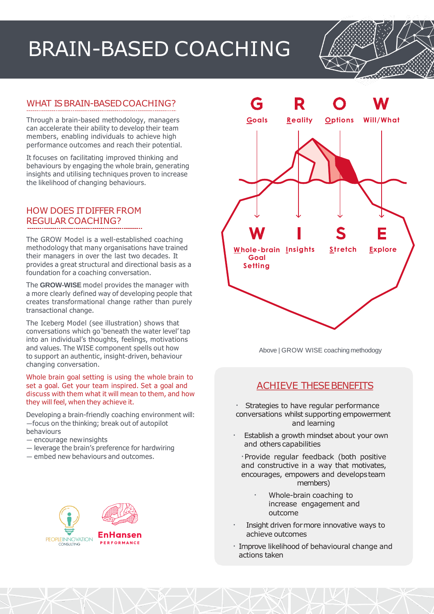## BRAIN-BASED COACHING



Through a brain-based methodology, managers can accelerate their ability to develop their team members, enabling individuals to achieve high performance outcomes and reach their potential.

It focuses on facilitating improved thinking and behaviours by engaging the whole brain, generating insights and utilising techniques proven to increase the likelihood of changing behaviours.

## HOW DOES ITDIFFER FROM REGULAR COACHING?

The GROW Model is a well-established coaching methodology that many organisations have trained their managers in over the last two decades. It provides a great structural and directional basis as a foundation for a coaching conversation.

The **GROW-WISE** model provides the manager with a more clearly defined way of developing people that creates transformational change rather than purely transactional change.

The Iceberg Model (see illustration) shows that conversations which go 'beneath the water level' tap into an individual's thoughts, feelings, motivations and values. The WISE component spells out how to support an authentic, insight-driven, behaviour changing conversation.

Whole brain goal setting is using the whole brain to set a goal. Get your team inspired. Set a goal and discuss with them what it will mean to them, and how they will feel, when they achieve it.

Developing a brain-friendly coaching environment will: —focus on the thinking; break out of autopilot behaviours

- encourage newinsights
- leverage the brain's preference for hardwiring
- embed new behaviours and outcomes.





Above | GROW WISE coaching methodogy

## **ACHIEVE THESE BENEFITS**

- Strategies to have regular performance conversations whilst supporting empowerment and learning
- Establish a growth mindset about your own and others capabilities
	- ·Provide regular feedback (both positive and constructive in a way that motivates, encourages, empowers and developsteam members)
		- Whole-brain coaching to increase engagement and outcome
- Insight driven formore innovative ways to achieve outcomes
- · Improve likelihood of behavioural change and actions taken